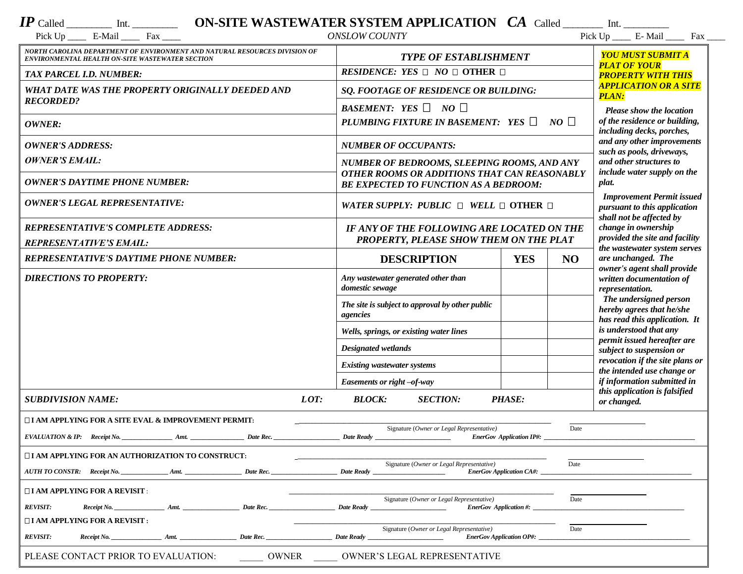| $IP$ Called<br>Int. | ON-SITE WASTEWATER SYSTEM APPLICATION |  | $CA$ Called | Int |
|---------------------|---------------------------------------|--|-------------|-----|
|---------------------|---------------------------------------|--|-------------|-----|

| $\cdot$<br>$\overline{\phantom{a}}$<br>Pick Up<br>-Mail | Hos<br>t'as | <b>SLOW COUNTY</b><br>$ON^{cr}$ | - -<br>Pick Up<br>1 V.N | Mail | u an |
|---------------------------------------------------------|-------------|---------------------------------|-------------------------|------|------|

| NORTH CAROLINA DEPARTMENT OF ENVIRONMENT AND NATURAL RESOURCES DIVISION OF                                      |                                                                                                   |                                 |      | YOU MUST SUBMIT A                                                                 |  |  |  |
|-----------------------------------------------------------------------------------------------------------------|---------------------------------------------------------------------------------------------------|---------------------------------|------|-----------------------------------------------------------------------------------|--|--|--|
| ENVIRONMENTAL HEALTH ON-SITE WASTEWATER SECTION                                                                 | <b>TYPE OF ESTABLISHMENT</b>                                                                      |                                 |      | <b>PLAT OF YOUR</b>                                                               |  |  |  |
| TAX PARCEL I.D. NUMBER:                                                                                         | RESIDENCE: YES $\Box$ NO $\Box$ OTHER $\Box$                                                      |                                 |      | <b>PROPERTY WITH THIS</b>                                                         |  |  |  |
| WHAT DATE WAS THE PROPERTY ORIGINALLY DEEDED AND<br><b>RECORDED?</b>                                            | SQ. FOOTAGE OF RESIDENCE OR BUILDING:                                                             |                                 |      | <b>APPLICATION OR A SITE</b><br><b>PLAN:</b>                                      |  |  |  |
|                                                                                                                 | BASEMENT: YES $\Box$ NO $\Box$                                                                    |                                 |      | <b>Please show the location</b>                                                   |  |  |  |
| OWNER:                                                                                                          | PLUMBING FIXTURE IN BASEMENT: YES $\Box$<br>NO                                                    |                                 |      | of the residence or building,<br>including decks, porches,                        |  |  |  |
| <b>OWNER'S ADDRESS:</b>                                                                                         | <b>NUMBER OF OCCUPANTS:</b>                                                                       |                                 |      | and any other improvements<br>such as pools, driveways,                           |  |  |  |
| <b>OWNER'S EMAIL:</b>                                                                                           | NUMBER OF BEDROOMS, SLEEPING ROOMS, AND ANY                                                       |                                 |      | and other structures to                                                           |  |  |  |
| <b>OWNER'S DAYTIME PHONE NUMBER:</b>                                                                            | OTHER ROOMS OR ADDITIONS THAT CAN REASONABLY<br><b>BE EXPECTED TO FUNCTION AS A BEDROOM:</b>      |                                 |      | include water supply on the<br>plat.                                              |  |  |  |
| <b>OWNER'S LEGAL REPRESENTATIVE:</b>                                                                            | WATER SUPPLY: PUBLIC $\Box$ WELL $\Box$ OTHER $\Box$                                              |                                 |      | <b>Improvement Permit issued</b><br>pursuant to this application                  |  |  |  |
| <b>REPRESENTATIVE'S COMPLETE ADDRESS:</b>                                                                       | IF ANY OF THE FOLLOWING ARE LOCATED ON THE                                                        |                                 |      | shall not be affected by<br>change in ownership                                   |  |  |  |
| <b>REPRESENTATIVE'S EMAIL:</b>                                                                                  | PROPERTY, PLEASE SHOW THEM ON THE PLAT                                                            |                                 |      | provided the site and facility                                                    |  |  |  |
| <b>REPRESENTATIVE'S DAYTIME PHONE NUMBER:</b>                                                                   | <b>DESCRIPTION</b>                                                                                | <b>YES</b>                      | NO   | the wastewater system serves<br>are unchanged. The<br>owner's agent shall provide |  |  |  |
| <b>DIRECTIONS TO PROPERTY:</b>                                                                                  | Any wastewater generated other than<br>domestic sewage                                            |                                 |      | written documentation of<br>representation.                                       |  |  |  |
|                                                                                                                 | The site is subject to approval by other public<br>agencies                                       |                                 |      | The undersigned person<br>hereby agrees that he/she                               |  |  |  |
|                                                                                                                 | Wells, springs, or existing water lines                                                           |                                 |      | has read this application. It<br>is understood that any                           |  |  |  |
|                                                                                                                 | <b>Designated wetlands</b>                                                                        |                                 |      | permit issued hereafter are<br>subject to suspension or                           |  |  |  |
|                                                                                                                 | <b>Existing wastewater systems</b>                                                                |                                 |      | revocation if the site plans or                                                   |  |  |  |
|                                                                                                                 | Easements or right -of-way                                                                        |                                 |      | the intended use change or<br>if information submitted in                         |  |  |  |
| LOT:<br><b>SUBDIVISION NAME:</b>                                                                                | <b>BLOCK:</b><br><b>SECTION:</b>                                                                  | <b>PHASE:</b>                   |      | this application is falsified                                                     |  |  |  |
|                                                                                                                 |                                                                                                   |                                 |      | or changed.                                                                       |  |  |  |
| $\Box$ I AM APPLYING FOR A SITE EVAL & IMPROVEMENT PERMIT:<br>Signature (Owner or Legal Representative)<br>Date |                                                                                                   |                                 |      |                                                                                   |  |  |  |
| Date Rec.                                                                                                       | Date Ready                                                                                        | <b>EnerGov Application IP#:</b> |      |                                                                                   |  |  |  |
| □ I AM APPLYING FOR AN AUTHORIZATION TO CONSTRUCT:                                                              |                                                                                                   |                                 |      |                                                                                   |  |  |  |
| Date Rec.<br>AUTH TO CONSTR: Receipt No.<br>Amt.                                                                | Signature (Owner or Legal Representative)<br><b>Date Ready</b><br><b>EnerGov Application CA#:</b> |                                 | Date |                                                                                   |  |  |  |
| $\Box$ I AM APPLYING FOR A REVISIT :                                                                            |                                                                                                   |                                 |      |                                                                                   |  |  |  |
| <b>REVISIT:</b><br>Date Rec.<br>$\textit{Receipt No.}$<br>Amt.                                                  | Signature (Owner or Legal Representative)<br><b>Date Ready</b><br><b>EnerGov</b> Application #:   |                                 | Date |                                                                                   |  |  |  |
| $\Box$ I AM APPLYING FOR A REVISIT :                                                                            |                                                                                                   |                                 |      |                                                                                   |  |  |  |
| <b>REVISIT:</b><br>Date Rec.<br>$\textit{Receipt No.}$ Amt.                                                     | Signature (Owner or Legal Representative)<br>Date Ready<br><b>EnerGov Application OP#:</b>        |                                 | Date |                                                                                   |  |  |  |
| PLEASE CONTACT PRIOR TO EVALUATION:<br><b>OWNER</b><br>OWNER'S LEGAL REPRESENTATIVE                             |                                                                                                   |                                 |      |                                                                                   |  |  |  |